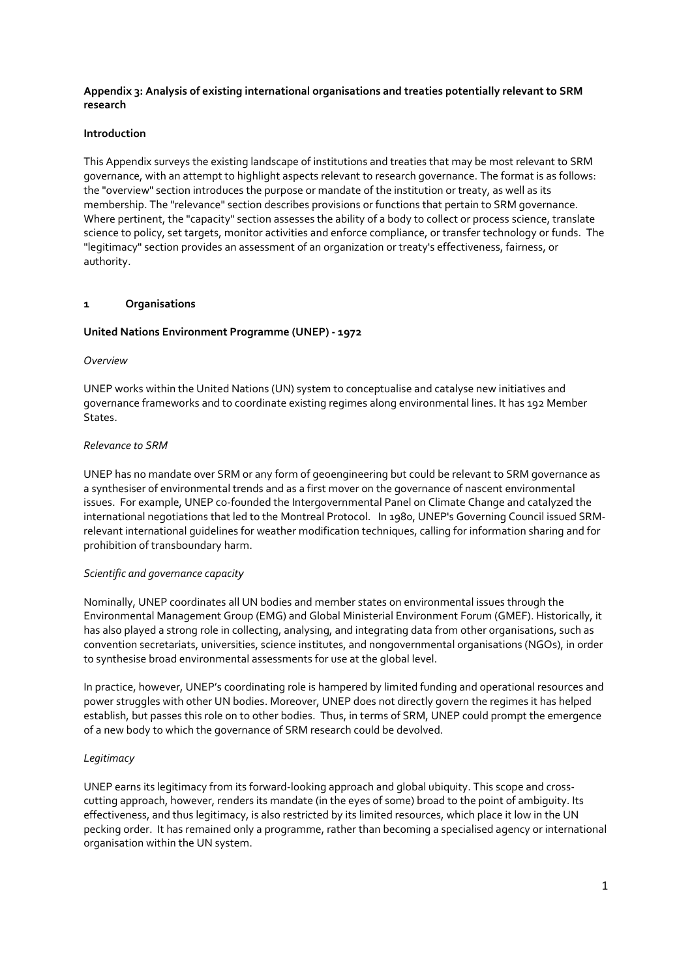## **Appendix 3: Analysis of existing international organisations and treaties potentially relevant to SRM research**

### **Introduction**

This Appendix surveys the existing landscape of institutions and treaties that may be most relevant to SRM governance, with an attempt to highlight aspects relevant to research governance. The format is as follows: the "overview" section introduces the purpose or mandate of the institution or treaty, as well as its membership. The "relevance" section describes provisions or functions that pertain to SRM governance. Where pertinent, the "capacity" section assesses the ability of a body to collect or process science, translate science to policy, set targets, monitor activities and enforce compliance, or transfer technology or funds. The "legitimacy" section provides an assessment of an organization or treaty's effectiveness, fairness, or authority.

### **1 Organisations**

## **United Nations Environment Programme (UNEP) - 1972**

### *Overview*

UNEP works within the United Nations (UN) system to conceptualise and catalyse new initiatives and governance frameworks and to coordinate existing regimes along environmental lines. It has 192 Member States.

### *Relevance to SRM*

UNEP has no mandate over SRM or any form of geoengineering but could be relevant to SRM governance as a synthesiser of environmental trends and as a first mover on the governance of nascent environmental issues. For example, UNEP co-founded the Intergovernmental Panel on Climate Change and catalyzed the international negotiations that led to the Montreal Protocol. In 1980, UNEP's Governing Council issued SRMrelevant international guidelines for weather modification techniques, calling for information sharing and for prohibition of transboundary harm.

### *Scientific and governance capacity*

Nominally, UNEP coordinates all UN bodies and member states on environmental issues through the Environmental Management Group (EMG) and Global Ministerial Environment Forum (GMEF). Historically, it has also played a strong role in collecting, analysing, and integrating data from other organisations, such as convention secretariats, universities, science institutes, and nongovernmental organisations (NGOs), in order to synthesise broad environmental assessments for use at the global level.

In practice, however, UNEP's coordinating role is hampered by limited funding and operational resources and power struggles with other UN bodies. Moreover, UNEP does not directly govern the regimes it has helped establish, but passes this role on to other bodies. Thus, in terms of SRM, UNEP could prompt the emergence of a new body to which the governance of SRM research could be devolved.

### *Legitimacy*

UNEP earns its legitimacy from its forward-looking approach and global ubiquity. This scope and crosscutting approach, however, renders its mandate (in the eyes of some) broad to the point of ambiguity. Its effectiveness, and thus legitimacy, is also restricted by its limited resources, which place it low in the UN pecking order. It has remained only a programme, rather than becoming a specialised agency or international organisation within the UN system.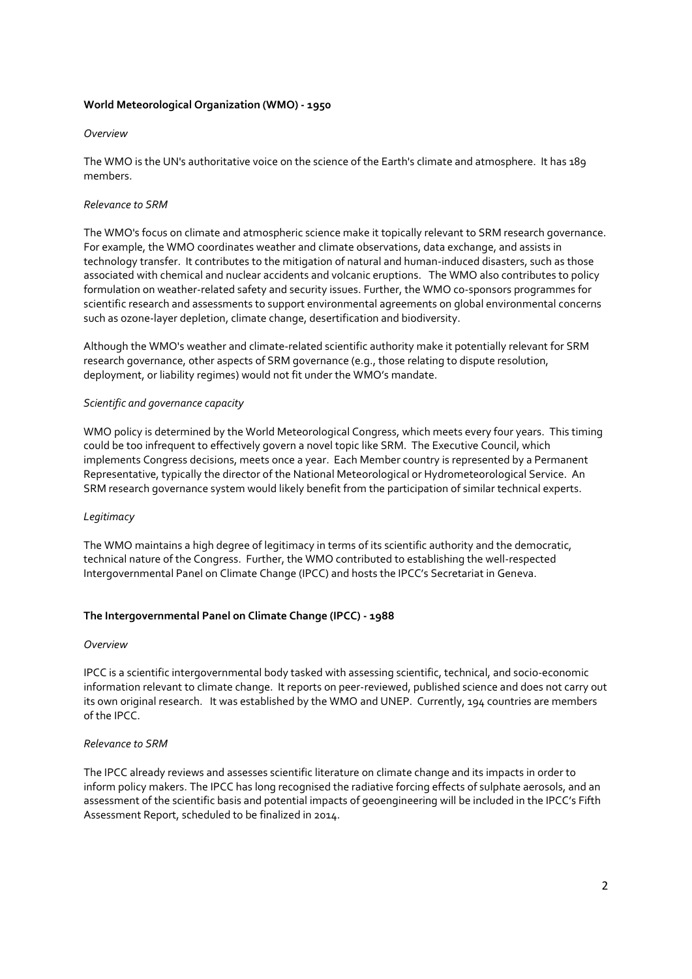## **World Meteorological Organization (WMO) - 1950**

#### *Overview*

The WMO is the UN's authoritative voice on the science of the Earth's climate and atmosphere. It has 189 members.

### *Relevance to SRM*

The WMO's focus on climate and atmospheric science make it topically relevant to SRM research governance. For example, the WMO coordinates weather and climate observations, data exchange, and assists in technology transfer. It contributes to the mitigation of natural and human-induced disasters, such as those associated with chemical and nuclear accidents and volcanic eruptions. The WMO also contributes to policy formulation on weather-related safety and security issues. Further, the WMO co-sponsors programmes for scientific research and assessments to support environmental agreements on global environmental concerns such as ozone-layer depletion, climate change, desertification and biodiversity.

Although the WMO's weather and climate-related scientific authority make it potentially relevant for SRM research governance, other aspects of SRM governance (e.g., those relating to dispute resolution, deployment, or liability regimes) would not fit under the WMO's mandate.

#### *Scientific and governance capacity*

WMO policy is determined by the World Meteorological Congress, which meets every four years. This timing could be too infrequent to effectively govern a novel topic like SRM. The Executive Council, which implements Congress decisions, meets once a year. Each Member country is represented by a Permanent Representative, typically the director of the National Meteorological or Hydrometeorological Service. An SRM research governance system would likely benefit from the participation of similar technical experts.

### *Legitimacy*

The WMO maintains a high degree of legitimacy in terms of its scientific authority and the democratic, technical nature of the Congress. Further, the WMO contributed to establishing the well-respected Intergovernmental Panel on Climate Change (IPCC) and hosts the IPCC's Secretariat in Geneva.

### **The Intergovernmental Panel on Climate Change (IPCC) - 1988**

#### *Overview*

IPCC is a scientific intergovernmental body tasked with assessing scientific, technical, and socio-economic information relevant to climate change. It reports on peer-reviewed, published science and does not carry out its own original research. It was established by the WMO and UNEP. Currently, 194 countries are members of the IPCC.

#### *Relevance to SRM*

The IPCC already reviews and assesses scientific literature on climate change and its impacts in order to inform policy makers. The IPCC has long recognised the radiative forcing effects of sulphate aerosols, and an assessment of the scientific basis and potential impacts of geoengineering will be included in the IPCC's Fifth Assessment Report, scheduled to be finalized in 2014.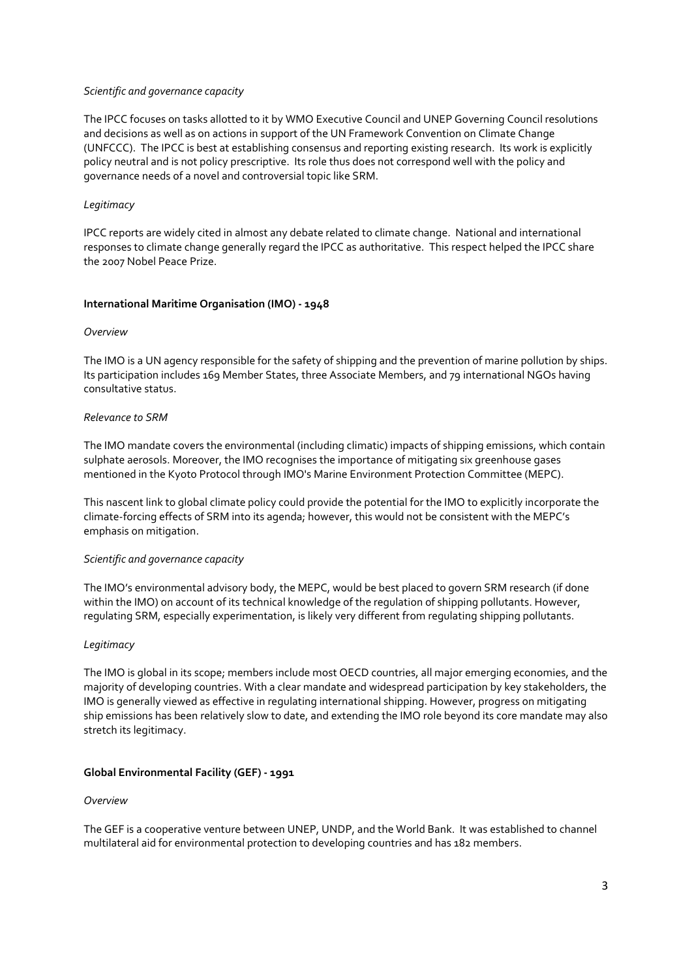### *Scientific and governance capacity*

The IPCC focuses on tasks allotted to it by WMO Executive Council and UNEP Governing Council resolutions and decisions as well as on actions in support of the UN Framework Convention on Climate Change (UNFCCC). The IPCC is best at establishing consensus and reporting existing research. Its work is explicitly policy neutral and is not policy prescriptive. Its role thus does not correspond well with the policy and governance needs of a novel and controversial topic like SRM.

# *Legitimacy*

IPCC reports are widely cited in almost any debate related to climate change. National and international responses to climate change generally regard the IPCC as authoritative. This respect helped the IPCC share the 2007 Nobel Peace Prize.

## **International Maritime Organisation (IMO) - 1948**

### *Overview*

The IMO is a UN agency responsible for the safety of shipping and the prevention of marine pollution by ships. Its participation includes 169 Member States, three Associate Members, and 79 international NGOs having consultative status.

## *Relevance to SRM*

The IMO mandate covers the environmental (including climatic) impacts of shipping emissions, which contain sulphate aerosols. Moreover, the IMO recognises the importance of mitigating six greenhouse gases mentioned in the Kyoto Protocol through IMO's Marine Environment Protection Committee (MEPC).

This nascent link to global climate policy could provide the potential for the IMO to explicitly incorporate the climate-forcing effects of SRM into its agenda; however, this would not be consistent with the MEPC's emphasis on mitigation.

### *Scientific and governance capacity*

The IMO's environmental advisory body, the MEPC, would be best placed to govern SRM research (if done within the IMO) on account of its technical knowledge of the regulation of shipping pollutants. However, regulating SRM, especially experimentation, is likely very different from regulating shipping pollutants.

# *Legitimacy*

The IMO is global in its scope; members include most OECD countries, all major emerging economies, and the majority of developing countries. With a clear mandate and widespread participation by key stakeholders, the IMO is generally viewed as effective in regulating international shipping. However, progress on mitigating ship emissions has been relatively slow to date, and extending the IMO role beyond its core mandate may also stretch its legitimacy.

# **Global Environmental Facility (GEF) - 1991**

### *Overview*

The GEF is a cooperative venture between UNEP, UNDP, and the World Bank. It was established to channel multilateral aid for environmental protection to developing countries and has 182 members.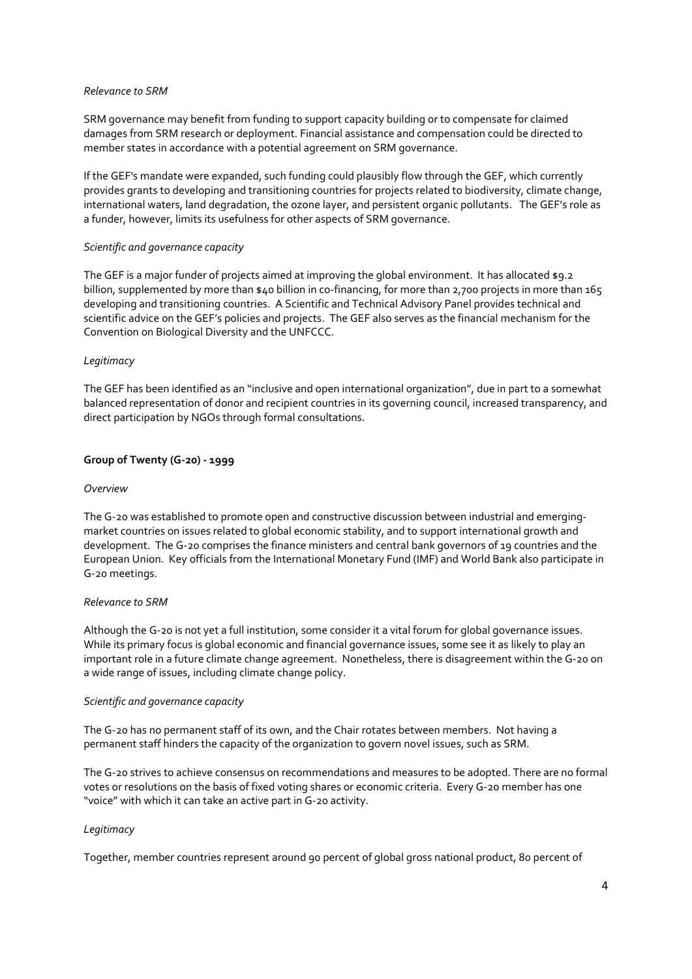### *Relevance to SRM*

SRM governance may benefit from funding to support capacity building or to compensate for claimed damages from SRM research or deployment. Financial assistance and compensation could be directed to member states in accordance with a potential agreement on SRM governance.

If the GEF's mandate were expanded, such funding could plausibly flow through the GEF, which currently provides grants to developing and transitioning countries for projects related to biodiversity, climate change, international waters, land degradation, the ozone layer, and persistent organic pollutants. The GEF's role as a funder, however, limits its usefulness for other aspects of SRM governance.

#### *Scientific and governance capacity*

The GEF is a major funder of projects aimed at improving the global environment. It has allocated \$9.2 billion, supplemented by more than \$40 billion in co-financing, for more than 2,700 projects in more than 165 developing and transitioning countries. A Scientific and Technical Advisory Panel provides technical and scientific advice on the GEF's policies and projects. The GEF also serves as the financial mechanism for the Convention on Biological Diversity and the UNFCCC.

#### *Legitimacy*

The GEF has been identified as an "inclusive and open international organization", due in part to a somewhat balanced representation of donor and recipient countries in its governing council, increased transparency, and direct participation by NGOs through formal consultations.

### **Group of Twenty (G-20) - 1999**

#### *Overview*

The G-20 was established to promote open and constructive discussion between industrial and emergingmarket countries on issues related to global economic stability, and to support international growth and development. The G-20 comprises the finance ministers and central bank governors of 19 countries and the European Union. Key officials from the International Monetary Fund (IMF) and World Bank also participate in G-20 meetings.

### *Relevance to SRM*

Although the G-20 is not yet a full institution, some consider it a vital forum for global governance issues. While its primary focus is global economic and financial governance issues, some see it as likely to play an important role in a future climate change agreement. Nonetheless, there is disagreement within the G-20 on a wide range of issues, including climate change policy.

#### *Scientific and governance capacity*

The G-20 has no permanent staff of its own, and the Chair rotates between members. Not having a permanent staff hinders the capacity of the organization to govern novel issues, such as SRM.

The G-20 strives to achieve consensus on recommendations and measures to be adopted. There are no formal votes or resolutions on the basis of fixed voting shares or economic criteria. Every G-20 member has one "voice" with which it can take an active part in G-20 activity.

### *Legitimacy*

Together, member countries represent around 90 percent of global gross national product, 80 percent of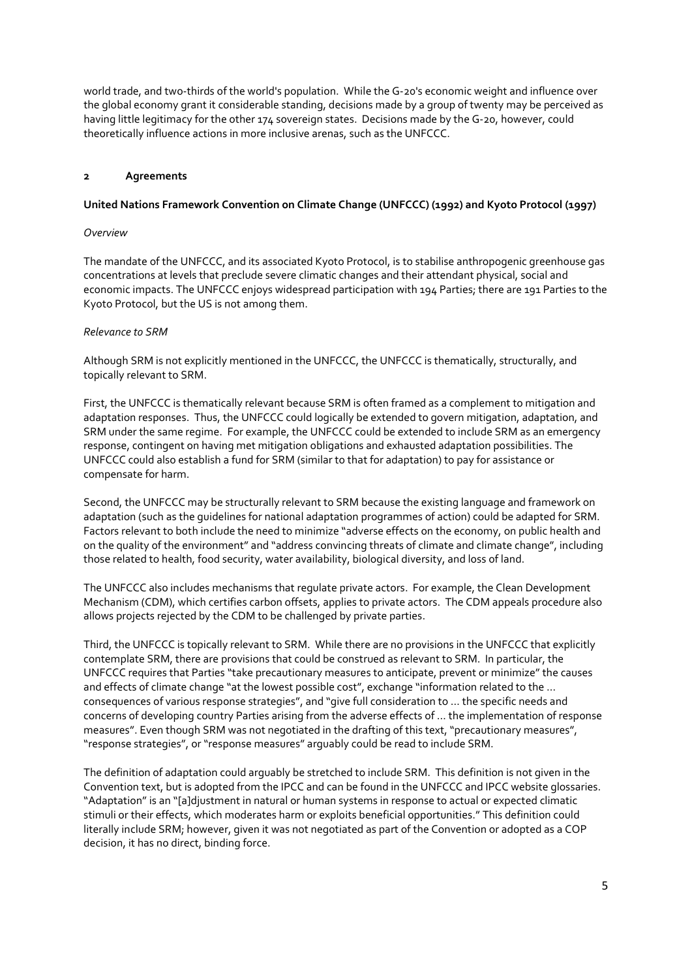world trade, and two-thirds of the world's population. While the G-20's economic weight and influence over the global economy grant it considerable standing, decisions made by a group of twenty may be perceived as having little legitimacy for the other 174 sovereign states. Decisions made by the G-20, however, could theoretically influence actions in more inclusive arenas, such as the UNFCCC.

### **2 Agreements**

## **United Nations Framework Convention on Climate Change (UNFCCC) (1992) and Kyoto Protocol (1997)**

### *Overview*

The mandate of the UNFCCC, and its associated Kyoto Protocol, is to stabilise anthropogenic greenhouse gas concentrations at levels that preclude severe climatic changes and their attendant physical, social and economic impacts. The UNFCCC enjoys widespread participation with 194 Parties; there are 191 Parties to the Kyoto Protocol, but the US is not among them.

## *Relevance to SRM*

Although SRM is not explicitly mentioned in the UNFCCC, the UNFCCC is thematically, structurally, and topically relevant to SRM.

First, the UNFCCC is thematically relevant because SRM is often framed as a complement to mitigation and adaptation responses. Thus, the UNFCCC could logically be extended to govern mitigation, adaptation, and SRM under the same regime. For example, the UNFCCC could be extended to include SRM as an emergency response, contingent on having met mitigation obligations and exhausted adaptation possibilities. The UNFCCC could also establish a fund for SRM (similar to that for adaptation) to pay for assistance or compensate for harm.

Second, the UNFCCC may be structurally relevant to SRM because the existing language and framework on adaptation (such as the guidelines for national adaptation programmes of action) could be adapted for SRM. Factors relevant to both include the need to minimize "adverse effects on the economy, on public health and on the quality of the environment" and "address convincing threats of climate and climate change", including those related to health, food security, water availability, biological diversity, and loss of land.

The UNFCCC also includes mechanisms that regulate private actors. For example, the Clean Development Mechanism (CDM), which certifies carbon offsets, applies to private actors. The CDM appeals procedure also allows projects rejected by the CDM to be challenged by private parties.

Third, the UNFCCC is topically relevant to SRM. While there are no provisions in the UNFCCC that explicitly contemplate SRM, there are provisions that could be construed as relevant to SRM. In particular, the UNFCCC requires that Parties "take precautionary measures to anticipate, prevent or minimize" the causes and effects of climate change "at the lowest possible cost", exchange "information related to the … consequences of various response strategies", and "give full consideration to … the specific needs and concerns of developing country Parties arising from the adverse effects of … the implementation of response measures". Even though SRM was not negotiated in the drafting of this text, "precautionary measures", "response strategies", or "response measures" arguably could be read to include SRM.

The definition of adaptation could arguably be stretched to include SRM. This definition is not given in the Convention text, but is adopted from the IPCC and can be found in the UNFCCC and IPCC website glossaries. "Adaptation" is an "[a]djustment in natural or human systems in response to actual or expected climatic stimuli or their effects, which moderates harm or exploits beneficial opportunities." This definition could literally include SRM; however, given it was not negotiated as part of the Convention or adopted as a COP decision, it has no direct, binding force.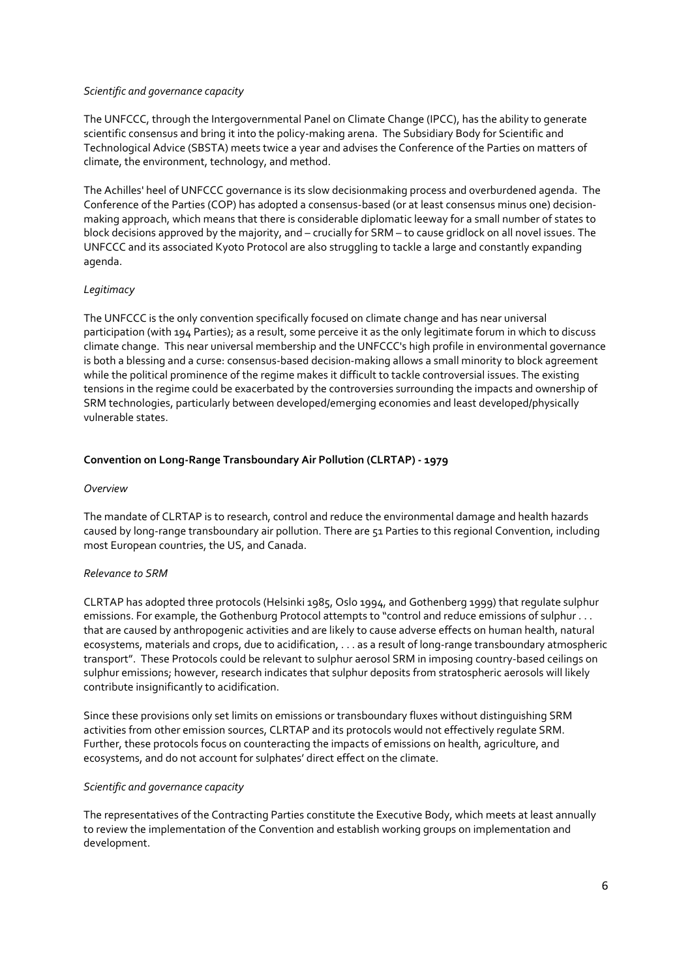## *Scientific and governance capacity*

The UNFCCC, through the Intergovernmental Panel on Climate Change (IPCC), has the ability to generate scientific consensus and bring it into the policy-making arena. The Subsidiary Body for Scientific and Technological Advice (SBSTA) meets twice a year and advises the Conference of the Parties on matters of climate, the environment, technology, and method.

The Achilles' heel of UNFCCC governance is its slow decisionmaking process and overburdened agenda. The Conference of the Parties (COP) has adopted a consensus-based (or at least consensus minus one) decisionmaking approach, which means that there is considerable diplomatic leeway for a small number of states to block decisions approved by the majority, and – crucially for SRM – to cause gridlock on all novel issues. The UNFCCC and its associated Kyoto Protocol are also struggling to tackle a large and constantly expanding agenda.

# *Legitimacy*

The UNFCCC is the only convention specifically focused on climate change and has near universal participation (with 194 Parties); as a result, some perceive it as the only legitimate forum in which to discuss climate change. This near universal membership and the UNFCCC's high profile in environmental governance is both a blessing and a curse: consensus-based decision-making allows a small minority to block agreement while the political prominence of the regime makes it difficult to tackle controversial issues. The existing tensions in the regime could be exacerbated by the controversies surrounding the impacts and ownership of SRM technologies, particularly between developed/emerging economies and least developed/physically vulnerable states.

## **Convention on Long-Range Transboundary Air Pollution (CLRTAP) - 1979**

### *Overview*

The mandate of CLRTAP is to research, control and reduce the environmental damage and health hazards caused by long-range transboundary air pollution. There are 51 Parties to this regional Convention, including most European countries, the US, and Canada.

### *Relevance to SRM*

CLRTAP has adopted three protocols (Helsinki 1985, Oslo 1994, and Gothenberg 1999) that regulate sulphur emissions. For example, the Gothenburg Protocol attempts to "control and reduce emissions of sulphur . . . that are caused by anthropogenic activities and are likely to cause adverse effects on human health, natural ecosystems, materials and crops, due to acidification, . . . as a result of long-range transboundary atmospheric transport". These Protocols could be relevant to sulphur aerosol SRM in imposing country-based ceilings on sulphur emissions; however, research indicates that sulphur deposits from stratospheric aerosols will likely contribute insignificantly to acidification.

Since these provisions only set limits on emissions or transboundary fluxes without distinguishing SRM activities from other emission sources, CLRTAP and its protocols would not effectively regulate SRM. Further, these protocols focus on counteracting the impacts of emissions on health, agriculture, and ecosystems, and do not account for sulphates' direct effect on the climate.

### *Scientific and governance capacity*

The representatives of the Contracting Parties constitute the Executive Body, which meets at least annually to review the implementation of the Convention and establish working groups on implementation and development.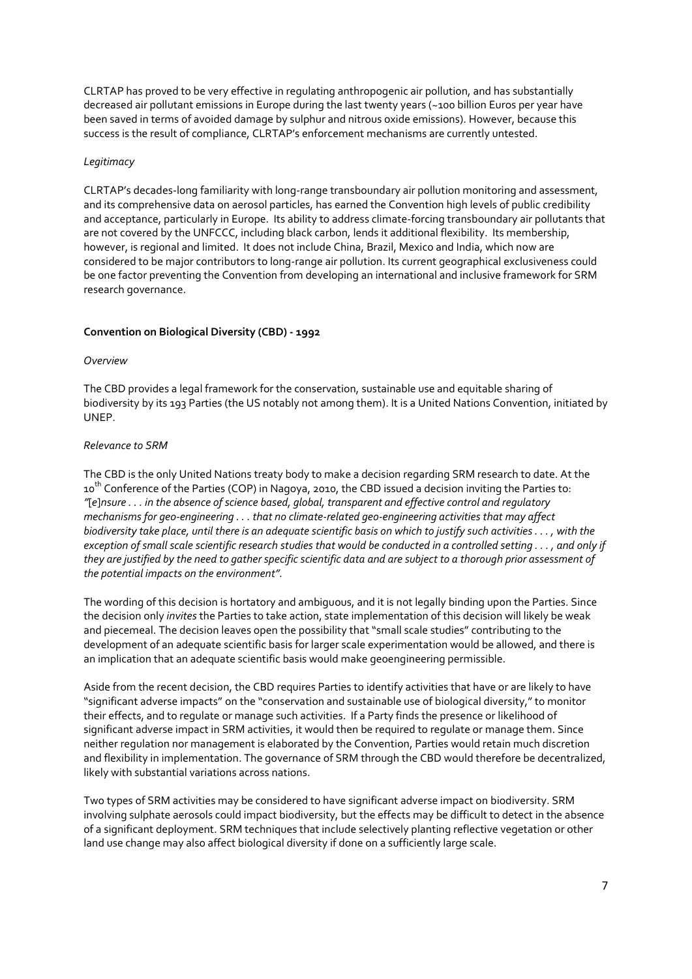CLRTAP has proved to be very effective in regulating anthropogenic air pollution, and has substantially decreased air pollutant emissions in Europe during the last twenty years (~100 billion Euros per year have been saved in terms of avoided damage by sulphur and nitrous oxide emissions). However, because this success is the result of compliance, CLRTAP's enforcement mechanisms are currently untested.

### *Legitimacy*

CLRTAP's decades-long familiarity with long-range transboundary air pollution monitoring and assessment, and its comprehensive data on aerosol particles, has earned the Convention high levels of public credibility and acceptance, particularly in Europe. Its ability to address climate-forcing transboundary air pollutants that are not covered by the UNFCCC, including black carbon, lends it additional flexibility. Its membership, however, is regional and limited. It does not include China, Brazil, Mexico and India, which now are considered to be major contributors to long-range air pollution. Its current geographical exclusiveness could be one factor preventing the Convention from developing an international and inclusive framework for SRM research governance.

### **Convention on Biological Diversity (CBD) - 1992**

### *Overview*

The CBD provides a legal framework for the conservation, sustainable use and equitable sharing of biodiversity by its 193 Parties (the US notably not among them). It is a United Nations Convention, initiated by UNEP.

## *Relevance to SRM*

The CBD is the only United Nations treaty body to make a decision regarding SRM research to date. At the 10<sup>th</sup> Conference of the Parties (COP) in Nagoya, 2010, the CBD issued a decision inviting the Parties to: *"*[*e*]*nsure . . . in the absence of science based, global, transparent and effective control and regulatory mechanisms for geo-engineering . . . that no climate-related geo-engineering activities that may affect biodiversity take place, until there is an adequate scientific basis on which to justify such activities . . . , with the exception of small scale scientific research studies that would be conducted in a controlled setting . . . , and only if they are justified by the need to gather specific scientific data and are subject to a thorough prior assessment of the potential impacts on the environment".*

The wording of this decision is hortatory and ambiguous, and it is not legally binding upon the Parties. Since the decision only *invites* the Parties to take action, state implementation of this decision will likely be weak and piecemeal. The decision leaves open the possibility that "small scale studies" contributing to the development of an adequate scientific basis for larger scale experimentation would be allowed, and there is an implication that an adequate scientific basis would make geoengineering permissible.

Aside from the recent decision, the CBD requires Parties to identify activities that have or are likely to have "significant adverse impacts" on the "conservation and sustainable use of biological diversity," to monitor their effects, and to regulate or manage such activities. If a Party finds the presence or likelihood of significant adverse impact in SRM activities, it would then be required to regulate or manage them. Since neither regulation nor management is elaborated by the Convention, Parties would retain much discretion and flexibility in implementation. The governance of SRM through the CBD would therefore be decentralized, likely with substantial variations across nations.

Two types of SRM activities may be considered to have significant adverse impact on biodiversity. SRM involving sulphate aerosols could impact biodiversity, but the effects may be difficult to detect in the absence of a significant deployment. SRM techniques that include selectively planting reflective vegetation or other land use change may also affect biological diversity if done on a sufficiently large scale.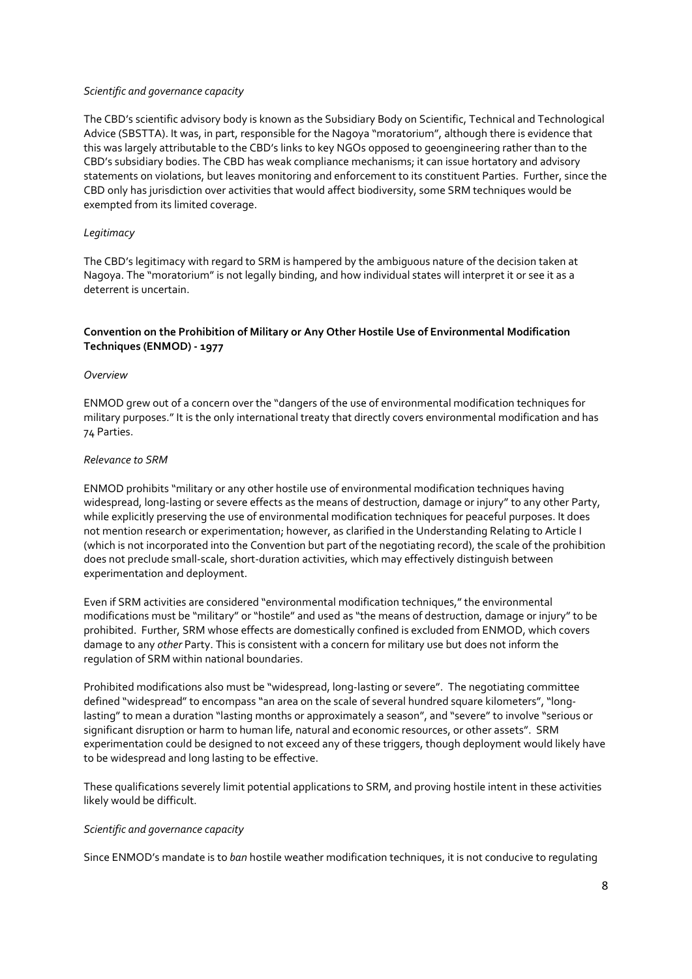### *Scientific and governance capacity*

The CBD's scientific advisory body is known as the Subsidiary Body on Scientific, Technical and Technological Advice (SBSTTA). It was, in part, responsible for the Nagoya "moratorium", although there is evidence that this was largely attributable to the CBD's links to key NGOs opposed to geoengineering rather than to the CBD's subsidiary bodies. The CBD has weak compliance mechanisms; it can issue hortatory and advisory statements on violations, but leaves monitoring and enforcement to its constituent Parties. Further, since the CBD only has jurisdiction over activities that would affect biodiversity, some SRM techniques would be exempted from its limited coverage.

## *Legitimacy*

The CBD's legitimacy with regard to SRM is hampered by the ambiguous nature of the decision taken at Nagoya. The "moratorium" is not legally binding, and how individual states will interpret it or see it as a deterrent is uncertain.

# **Convention on the Prohibition of Military or Any Other Hostile Use of Environmental Modification Techniques (ENMOD) - 1977**

### *Overview*

ENMOD grew out of a concern over the "dangers of the use of environmental modification techniques for military purposes." It is the only international treaty that directly covers environmental modification and has 74 Parties.

### *Relevance to SRM*

ENMOD prohibits "military or any other hostile use of environmental modification techniques having widespread, long-lasting or severe effects as the means of destruction, damage or injury" to any other Party, while explicitly preserving the use of environmental modification techniques for peaceful purposes. It does not mention research or experimentation; however, as clarified in the Understanding Relating to Article I (which is not incorporated into the Convention but part of the negotiating record), the scale of the prohibition does not preclude small-scale, short-duration activities, which may effectively distinguish between experimentation and deployment.

Even if SRM activities are considered "environmental modification techniques," the environmental modifications must be "military" or "hostile" and used as "the means of destruction, damage or injury" to be prohibited. Further, SRM whose effects are domestically confined is excluded from ENMOD, which covers damage to any *other* Party. This is consistent with a concern for military use but does not inform the regulation of SRM within national boundaries.

Prohibited modifications also must be "widespread, long-lasting or severe". The negotiating committee defined "widespread" to encompass "an area on the scale of several hundred square kilometers", "longlasting" to mean a duration "lasting months or approximately a season", and "severe" to involve "serious or significant disruption or harm to human life, natural and economic resources, or other assets". SRM experimentation could be designed to not exceed any of these triggers, though deployment would likely have to be widespread and long lasting to be effective.

These qualifications severely limit potential applications to SRM, and proving hostile intent in these activities likely would be difficult.

### *Scientific and governance capacity*

Since ENMOD's mandate is to *ban* hostile weather modification techniques, it is not conducive to regulating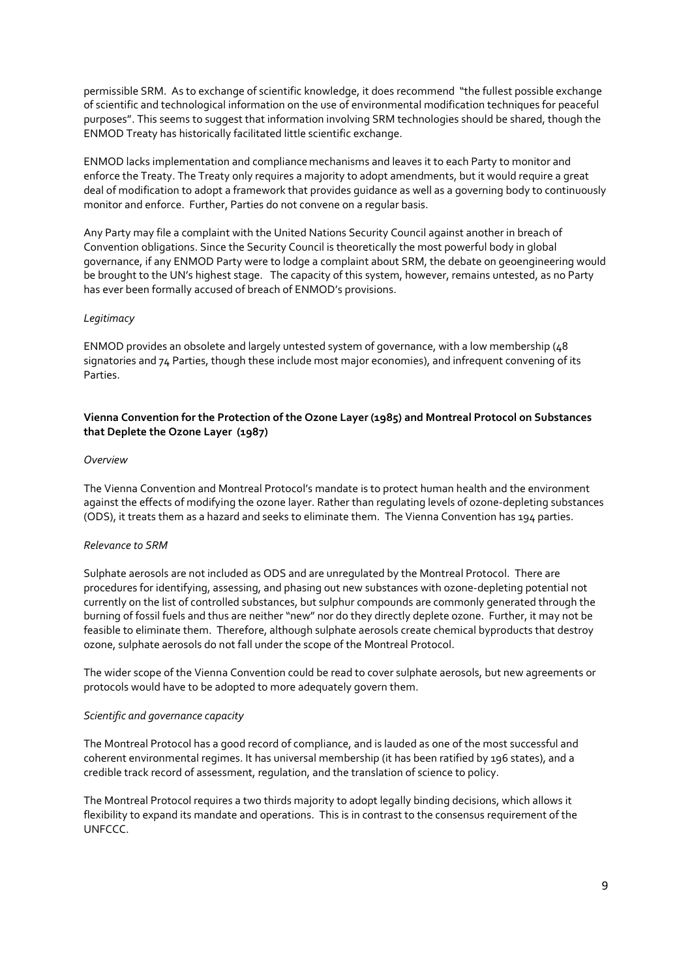permissible SRM. As to exchange of scientific knowledge, it does recommend "the fullest possible exchange of scientific and technological information on the use of environmental modification techniques for peaceful purposes". This seems to suggest that information involving SRM technologies should be shared, though the ENMOD Treaty has historically facilitated little scientific exchange.

ENMOD lacks implementation and compliancemechanisms and leaves it to each Party to monitor and enforce the Treaty. The Treaty only requires a majority to adopt amendments, but it would require a great deal of modification to adopt a framework that provides guidance as well as a governing body to continuously monitor and enforce. Further, Parties do not convene on a regular basis.

Any Party may file a complaint with the United Nations Security Council against another in breach of Convention obligations. Since the Security Council is theoretically the most powerful body in global governance, if any ENMOD Party were to lodge a complaint about SRM, the debate on geoengineering would be brought to the UN's highest stage. The capacity of this system, however, remains untested, as no Party has ever been formally accused of breach of ENMOD's provisions.

### *Legitimacy*

ENMOD provides an obsolete and largely untested system of governance, with a low membership (48 signatories and 74 Parties, though these include most major economies), and infrequent convening of its Parties.

## **Vienna Convention for the Protection of the Ozone Layer (1985) and Montreal Protocol on Substances that Deplete the Ozone Layer (1987)**

### *Overview*

The Vienna Convention and Montreal Protocol's mandate is to protect human health and the environment against the effects of modifying the ozone layer. Rather than regulating levels of ozone-depleting substances (ODS), it treats them as a hazard and seeks to eliminate them. The Vienna Convention has 194 parties.

### *Relevance to SRM*

Sulphate aerosols are not included as ODS and are unregulated by the Montreal Protocol. There are procedures for identifying, assessing, and phasing out new substances with ozone-depleting potential not currently on the list of controlled substances, but sulphur compounds are commonly generated through the burning of fossil fuels and thus are neither "new" nor do they directly deplete ozone. Further, it may not be feasible to eliminate them. Therefore, although sulphate aerosols create chemical byproducts that destroy ozone, sulphate aerosols do not fall under the scope of the Montreal Protocol.

The wider scope of the Vienna Convention could be read to cover sulphate aerosols, but new agreements or protocols would have to be adopted to more adequately govern them.

### *Scientific and governance capacity*

The Montreal Protocol has a good record of compliance, and is lauded as one of the most successful and coherent environmental regimes. It has universal membership (it has been ratified by 196 states), and a credible track record of assessment, regulation, and the translation of science to policy.

The Montreal Protocol requires a two thirds majority to adopt legally binding decisions, which allows it flexibility to expand its mandate and operations. This is in contrast to the consensus requirement of the UNFCCC.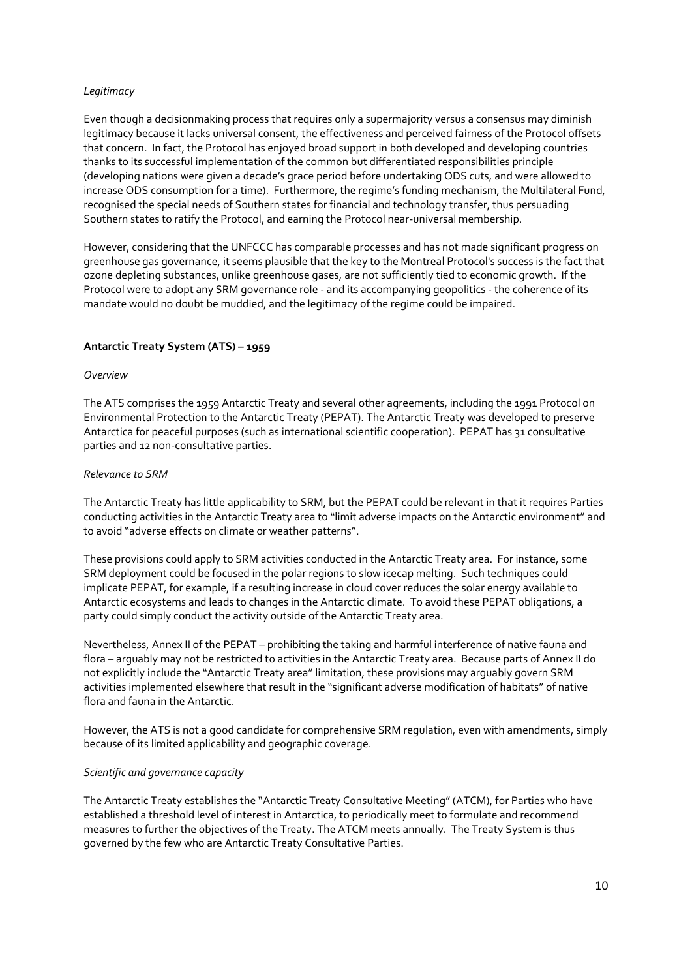## *Legitimacy*

Even though a decisionmaking process that requires only a supermajority versus a consensus may diminish legitimacy because it lacks universal consent, the effectiveness and perceived fairness of the Protocol offsets that concern. In fact, the Protocol has enjoyed broad support in both developed and developing countries thanks to its successful implementation of the common but differentiated responsibilities principle (developing nations were given a decade's grace period before undertaking ODS cuts, and were allowed to increase ODS consumption for a time). Furthermore, the regime's funding mechanism, the Multilateral Fund, recognised the special needs of Southern states for financial and technology transfer, thus persuading Southern states to ratify the Protocol, and earning the Protocol near-universal membership.

However, considering that the UNFCCC has comparable processes and has not made significant progress on greenhouse gas governance, it seems plausible that the key to the Montreal Protocol's success is the fact that ozone depleting substances, unlike greenhouse gases, are not sufficiently tied to economic growth. If the Protocol were to adopt any SRM governance role - and its accompanying geopolitics - the coherence of its mandate would no doubt be muddied, and the legitimacy of the regime could be impaired.

## **Antarctic Treaty System (ATS) – 1959**

### *Overview*

The ATS comprises the 1959 Antarctic Treaty and several other agreements, including the 1991 Protocol on Environmental Protection to the Antarctic Treaty (PEPAT). The Antarctic Treaty was developed to preserve Antarctica for peaceful purposes (such as international scientific cooperation). PEPAT has 31 consultative parties and 12 non-consultative parties.

### *Relevance to SRM*

The Antarctic Treaty has little applicability to SRM, but the PEPAT could be relevant in that it requires Parties conducting activities in the Antarctic Treaty area to "limit adverse impacts on the Antarctic environment" and to avoid "adverse effects on climate or weather patterns".

These provisions could apply to SRM activities conducted in the Antarctic Treaty area. For instance, some SRM deployment could be focused in the polar regions to slow icecap melting. Such techniques could implicate PEPAT, for example, if a resulting increase in cloud cover reduces the solar energy available to Antarctic ecosystems and leads to changes in the Antarctic climate. To avoid these PEPAT obligations, a party could simply conduct the activity outside of the Antarctic Treaty area.

Nevertheless, Annex II of the PEPAT – prohibiting the taking and harmful interference of native fauna and flora – arguably may not be restricted to activities in the Antarctic Treaty area. Because parts of Annex II do not explicitly include the "Antarctic Treaty area" limitation, these provisions may arguably govern SRM activities implemented elsewhere that result in the "significant adverse modification of habitats" of native flora and fauna in the Antarctic.

However, the ATS is not a good candidate for comprehensive SRM regulation, even with amendments, simply because of its limited applicability and geographic coverage.

### *Scientific and governance capacity*

The Antarctic Treaty establishes the "Antarctic Treaty Consultative Meeting" (ATCM), for Parties who have established a threshold level of interest in Antarctica, to periodically meet to formulate and recommend measures to further the objectives of the Treaty. The ATCM meets annually. The Treaty System is thus governed by the few who are Antarctic Treaty Consultative Parties.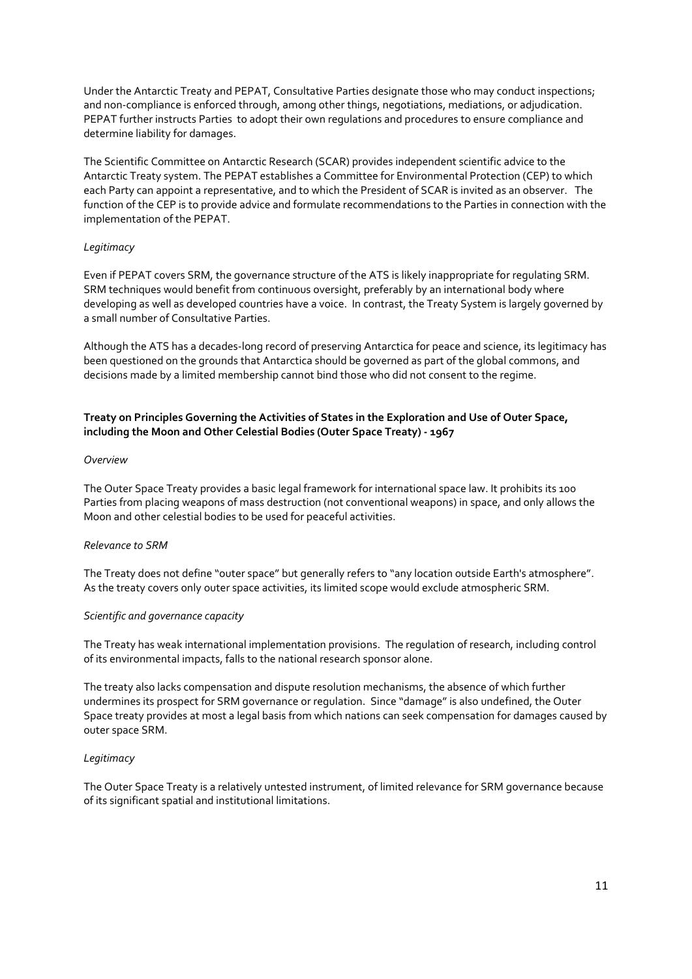Under the Antarctic Treaty and PEPAT, Consultative Parties designate those who may conduct inspections; and non-compliance is enforced through, among other things, negotiations, mediations, or adjudication. PEPAT further instructs Parties to adopt their own regulations and procedures to ensure compliance and determine liability for damages.

The Scientific Committee on Antarctic Research (SCAR) provides independent scientific advice to the Antarctic Treaty system. The PEPAT establishes a Committee for Environmental Protection (CEP) to which each Party can appoint a representative, and to which the President of SCAR is invited as an observer. The function of the CEP is to provide advice and formulate recommendations to the Parties in connection with the implementation of the PEPAT.

## *Legitimacy*

Even if PEPAT covers SRM, the governance structure of the ATS is likely inappropriate for regulating SRM. SRM techniques would benefit from continuous oversight, preferably by an international body where developing as well as developed countries have a voice. In contrast, the Treaty System is largely governed by a small number of Consultative Parties.

Although the ATS has a decades-long record of preserving Antarctica for peace and science, its legitimacy has been questioned on the grounds that Antarctica should be governed as part of the global commons, and decisions made by a limited membership cannot bind those who did not consent to the regime.

# **Treaty on Principles Governing the Activities of States in the Exploration and Use of Outer Space, including the Moon and Other Celestial Bodies (Outer Space Treaty) - 1967**

### *Overview*

The Outer Space Treaty provides a basic legal framework for international space law. It prohibits its 100 Parties from placing weapons of mass destruction (not conventional weapons) in space, and only allows the Moon and other celestial bodies to be used for peaceful activities.

### *Relevance to SRM*

The Treaty does not define "outer space" but generally refers to "any location outside Earth's atmosphere". As the treaty covers only outer space activities, its limited scope would exclude atmospheric SRM.

### *Scientific and governance capacity*

The Treaty has weak international implementation provisions. The regulation of research, including control of its environmental impacts, falls to the national research sponsor alone.

The treaty also lacks compensation and dispute resolution mechanisms, the absence of which further undermines its prospect for SRM governance or regulation. Since "damage" is also undefined, the Outer Space treaty provides at most a legal basis from which nations can seek compensation for damages caused by outer space SRM.

### *Legitimacy*

The Outer Space Treaty is a relatively untested instrument, of limited relevance for SRM governance because of its significant spatial and institutional limitations.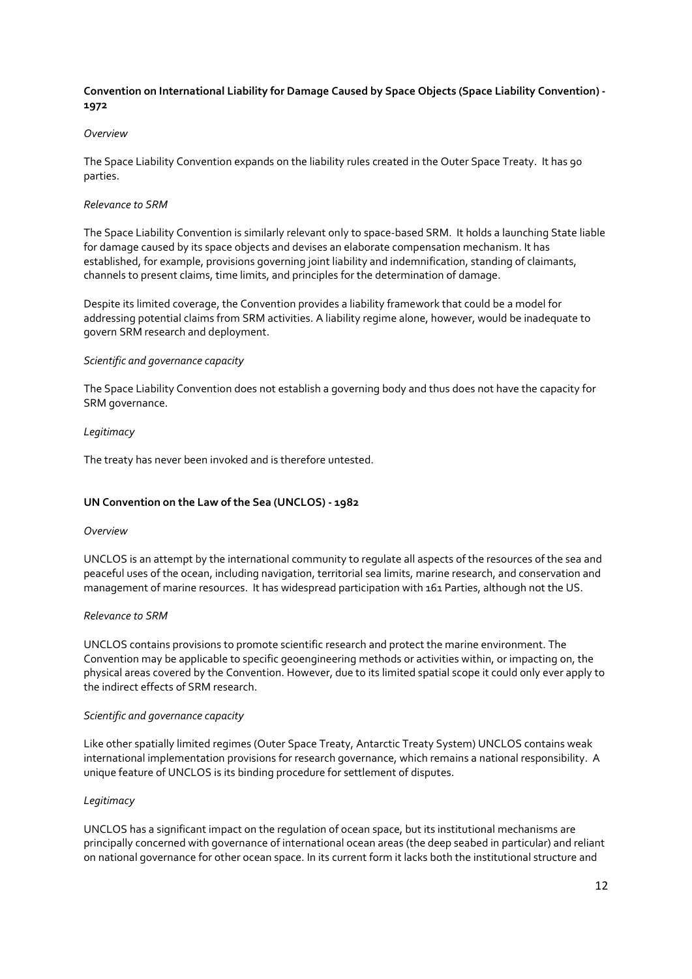# **Convention on International Liability for Damage Caused by Space Objects (Space Liability Convention) - 1972**

### *Overview*

The Space Liability Convention expands on the liability rules created in the Outer Space Treaty. It has 90 parties.

### *Relevance to SRM*

The Space Liability Convention is similarly relevant only to space-based SRM. It holds a launching State liable for damage caused by its space objects and devises an elaborate compensation mechanism. It has established, for example, provisions governing joint liability and indemnification, standing of claimants, channels to present claims, time limits, and principles for the determination of damage.

Despite its limited coverage, the Convention provides a liability framework that could be a model for addressing potential claims from SRM activities. A liability regime alone, however, would be inadequate to govern SRM research and deployment.

### *Scientific and governance capacity*

The Space Liability Convention does not establish a governing body and thus does not have the capacity for SRM governance.

## *Legitimacy*

The treaty has never been invoked and is therefore untested.

# **UN Convention on the Law of the Sea (UNCLOS) - 1982**

### *Overview*

UNCLOS is an attempt by the international community to regulate all aspects of the resources of the sea and peaceful uses of the ocean, including navigation, territorial sea limits, marine research, and conservation and management of marine resources. It has widespread participation with 161 Parties, although not the US.

### *Relevance to SRM*

UNCLOS contains provisions to promote scientific research and protect the marine environment. The Convention may be applicable to specific geoengineering methods or activities within, or impacting on, the physical areas covered by the Convention. However, due to its limited spatial scope it could only ever apply to the indirect effects of SRM research.

### *Scientific and governance capacity*

Like other spatially limited regimes (Outer Space Treaty, Antarctic Treaty System) UNCLOS contains weak international implementation provisions for research governance, which remains a national responsibility. A unique feature of UNCLOS is its binding procedure for settlement of disputes.

### *Legitimacy*

UNCLOS has a significant impact on the regulation of ocean space, but its institutional mechanisms are principally concerned with governance of international ocean areas (the deep seabed in particular) and reliant on national governance for other ocean space. In its current form it lacks both the institutional structure and